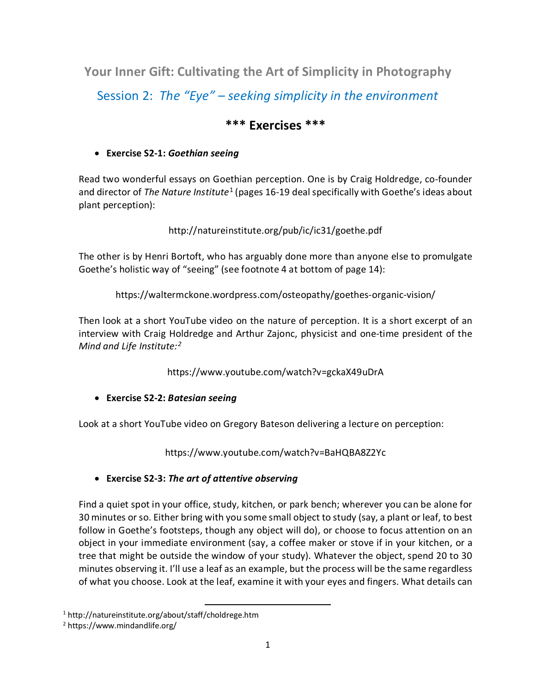**Your Inner Gift: Cultivating the Art of Simplicity in Photography** Session 2: *The "Eye" – seeking simplicity in the environment*

# **\*\*\* Exercises \*\*\***

## • **Exercise S2-1:** *Goethian seeing*

Read two wonderful essays on Goethian perception. One is by Craig Holdredge, co-founder and director of *The Nature Institute*[1](#page-0-0) (pages 16-19 deal specifically with Goethe's ideas about plant perception):

http://natureinstitute.org/pub/ic/ic31/goethe.pdf

The other is by Henri Bortoft, who has arguably done more than anyone else to promulgate Goethe's holistic way of "seeing" (see footnote 4 at bottom of page 14):

https://waltermckone.wordpress.com/osteopathy/goethes-organic-vision/

Then look at a short YouTube video on the nature of perception. It is a short excerpt of an interview with Craig Holdredge and Arthur Zajonc, physicist and one-time president of the *Mind and Life Institute:[2](#page-0-1)*

https://www.youtube.com/watch?v=gckaX49uDrA

• **Exercise S2-2:** *Batesian seeing* 

Look at a short YouTube video on Gregory Bateson delivering a lecture on perception:

https://www.youtube.com/watch?v=BaHQBA8Z2Yc

## • **Exercise S2-3:** *The art of attentive observing*

Find a quiet spot in your office, study, kitchen, or park bench; wherever you can be alone for 30 minutes or so. Either bring with you some small object to study (say, a plant or leaf, to best follow in Goethe's footsteps, though any object will do), or choose to focus attention on an object in your immediate environment (say, a coffee maker or stove if in your kitchen, or a tree that might be outside the window of your study). Whatever the object, spend 20 to 30 minutes observing it. I'll use a leaf as an example, but the process will be the same regardless of what you choose. Look at the leaf, examine it with your eyes and fingers. What details can

<span id="page-0-0"></span> <sup>1</sup> http://natureinstitute.org/about/staff/choldrege.htm

<span id="page-0-1"></span><sup>2</sup> https://www.mindandlife.org/